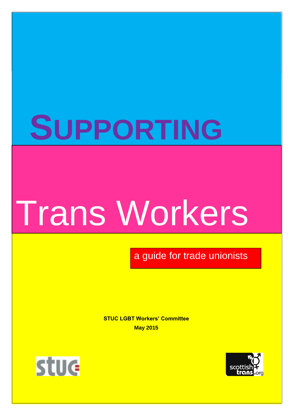## **SUPPORTING**

# Trans Workers

a guide for trade unionists

**STUC LGBT Workers' Committee May 2015**



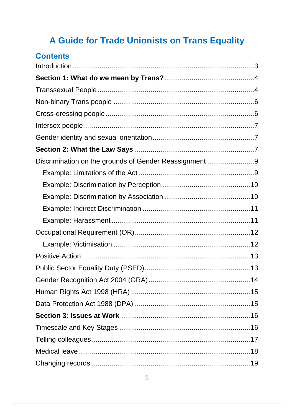## A Guide for Trade Unionists on Trans Equality

| <b>Contents</b>                                        |  |
|--------------------------------------------------------|--|
|                                                        |  |
|                                                        |  |
|                                                        |  |
|                                                        |  |
|                                                        |  |
|                                                        |  |
|                                                        |  |
|                                                        |  |
| Discrimination on the grounds of Gender Reassignment 9 |  |
|                                                        |  |
|                                                        |  |
|                                                        |  |
|                                                        |  |
|                                                        |  |
|                                                        |  |
|                                                        |  |
|                                                        |  |
|                                                        |  |
|                                                        |  |
|                                                        |  |
|                                                        |  |
|                                                        |  |
|                                                        |  |
|                                                        |  |
|                                                        |  |
|                                                        |  |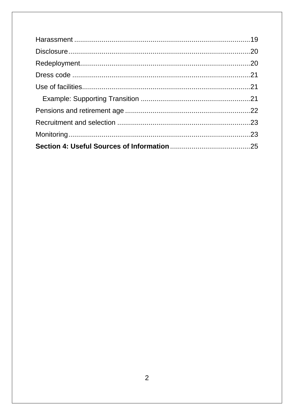<span id="page-2-0"></span>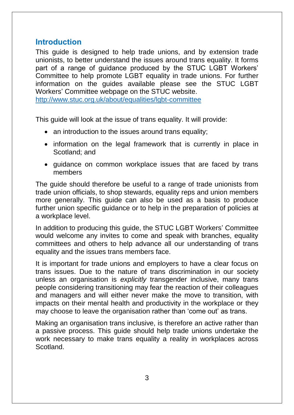#### **Introduction**

This guide is designed to help trade unions, and by extension trade unionists, to better understand the issues around trans equality. It forms part of a range of guidance produced by the STUC LGBT Workers' Committee to help promote LGBT equality in trade unions. For further information on the guides available please see the STUC LGBT Workers' Committee webpage on the STUC website.

<http://www.stuc.org.uk/about/equalities/lgbt-committee>

This guide will look at the issue of trans equality. It will provide:

- an introduction to the issues around trans equality;
- information on the legal framework that is currently in place in Scotland; and
- quidance on common workplace issues that are faced by trans members

The guide should therefore be useful to a range of trade unionists from trade union officials, to shop stewards, equality reps and union members more generally. This guide can also be used as a basis to produce further union specific guidance or to help in the preparation of policies at a workplace level.

In addition to producing this guide, the STUC LGBT Workers' Committee would welcome any invites to come and speak with branches, equality committees and others to help advance all our understanding of trans equality and the issues trans members face.

It is important for trade unions and employers to have a clear focus on trans issues. Due to the nature of trans discrimination in our society unless an organisation is *explicitly* transgender inclusive, many trans people considering transitioning may fear the reaction of their colleagues and managers and will either never make the move to transition, with impacts on their mental health and productivity in the workplace or they may choose to leave the organisation rather than 'come out' as trans.

Making an organisation trans inclusive, is therefore an active rather than a passive process. This guide should help trade unions undertake the work necessary to make trans equality a reality in workplaces across Scotland.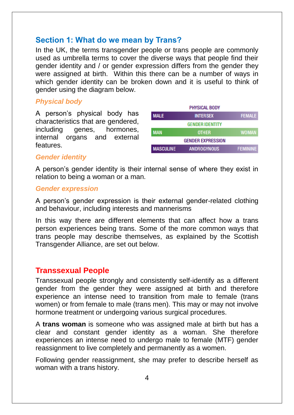## <span id="page-4-0"></span>**Section 1: What do we mean by Trans?**

In the UK, the terms transgender people or trans people are commonly used as umbrella terms to cover the diverse ways that people find their gender identity and / or gender expression differs from the gender they were assigned at birth. Within this there can be a number of ways in which gender identity can be broken down and it is useful to think of gender using the diagram below.

#### *Physical body*

A person's physical body has characteristics that are gendered, including genes, hormones, internal organs and external features.

|                  | <b>PHYSICAL BODY</b>     |                 |
|------------------|--------------------------|-----------------|
| <b>MALE</b>      | <b>INTERSEX</b>          | <b>FEMALE</b>   |
|                  | <b>GENDER IDENTITY</b>   |                 |
| <b>MAN</b>       | <b>OTHER</b>             | <b>WOMAN</b>    |
|                  | <b>GENDER EXPRESSION</b> |                 |
| <b>MASCULINE</b> | <b>ANDROGYNOUS</b>       | <b>FEMININE</b> |

#### *Gender identity*

A person's gender identity is their internal sense of where they exist in relation to being a woman or a man.

#### *Gender expression*

A person's gender expression is their external gender-related clothing and behaviour, including interests and mannerisms

In this way there are different elements that can affect how a trans person experiences being trans. Some of the more common ways that trans people may describe themselves, as explained by the Scottish Transgender Alliance, are set out below.

#### <span id="page-4-1"></span>**Transsexual People**

Transsexual people strongly and consistently self-identify as a different gender from the gender they were assigned at birth and therefore experience an intense need to transition from male to female (trans women) or from female to male (trans men). This may or may not involve hormone treatment or undergoing various surgical procedures.

A **trans woman** is someone who was assigned male at birth but has a clear and constant gender identity as a woman. She therefore experiences an intense need to undergo male to female (MTF) gender reassignment to live completely and permanently as a women.

Following gender reassignment, she may prefer to describe herself as woman with a trans history.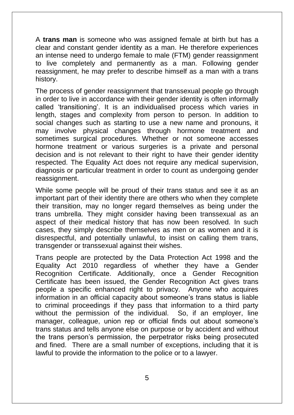A **trans man** is someone who was assigned female at birth but has a clear and constant gender identity as a man. He therefore experiences an intense need to undergo female to male (FTM) gender reassignment to live completely and permanently as a man. Following gender reassignment, he may prefer to describe himself as a man with a trans history.

The process of gender reassignment that transsexual people go through in order to live in accordance with their gender identity is often informally called 'transitioning'. It is an individualised process which varies in length, stages and complexity from person to person. In addition to social changes such as starting to use a new name and pronouns, it may involve physical changes through hormone treatment and sometimes surgical procedures. Whether or not someone accesses hormone treatment or various surgeries is a private and personal decision and is not relevant to their right to have their gender identity respected. The Equality Act does not require any medical supervision, diagnosis or particular treatment in order to count as undergoing gender reassignment.

While some people will be proud of their trans status and see it as an important part of their identity there are others who when they complete their transition, may no longer regard themselves as being under the trans umbrella. They might consider having been transsexual as an aspect of their medical history that has now been resolved. In such cases, they simply describe themselves as men or as women and it is disrespectful, and potentially unlawful, to insist on calling them trans, transgender or transsexual against their wishes.

Trans people are protected by the Data Protection Act 1998 and the Equality Act 2010 regardless of whether they have a Gender Recognition Certificate. Additionally, once a Gender Recognition Certificate has been issued, the Gender Recognition Act gives trans people a specific enhanced right to privacy. Anyone who acquires information in an official capacity about someone's trans status is liable to criminal proceedings if they pass that information to a third party without the permission of the individual. So, if an employer, line manager, colleague, union rep or official finds out about someone's trans status and tells anyone else on purpose or by accident and without the trans person's permission, the perpetrator risks being prosecuted and fined. There are a small number of exceptions, including that it is lawful to provide the information to the police or to a lawyer.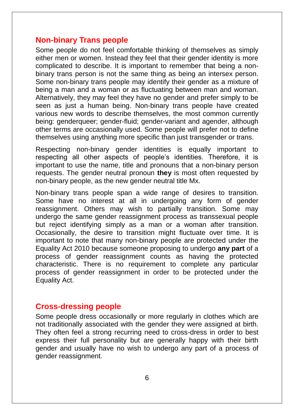#### <span id="page-6-0"></span>**Non-binary Trans people**

Some people do not feel comfortable thinking of themselves as simply either men or women. Instead they feel that their gender identity is more complicated to describe. It is important to remember that being a nonbinary trans person is not the same thing as being an intersex person. Some non-binary trans people may identify their gender as a mixture of being a man and a woman or as fluctuating between man and woman. Alternatively, they may feel they have no gender and prefer simply to be seen as just a human being. Non-binary trans people have created various new words to describe themselves, the most common currently being: genderqueer; gender-fluid; gender-variant and agender, although other terms are occasionally used. Some people will prefer not to define themselves using anything more specific than just transgender or trans.

Respecting non-binary gender identities is equally important to respecting all other aspects of people's identities. Therefore, it is important to use the name, title and pronouns that a non-binary person requests. The gender neutral pronoun **they** is most often requested by non-binary people, as the new gender neutral title Mx.

Non-binary trans people span a wide range of desires to transition. Some have no interest at all in undergoing any form of gender reassignment. Others may wish to partially transition. Some may undergo the same gender reassignment process as transsexual people but reject identifying simply as a man or a woman after transition. Occasionally, the desire to transition might fluctuate over time. It is important to note that many non-binary people are protected under the Equality Act 2010 because someone proposing to undergo **any part** of a process of gender reassignment counts as having the protected characteristic. There is no requirement to complete any particular process of gender reassignment in order to be protected under the Equality Act.

#### <span id="page-6-1"></span>**Cross-dressing people**

Some people dress occasionally or more regularly in clothes which are not traditionally associated with the gender they were assigned at birth. They often feel a strong recurring need to cross-dress in order to best express their full personality but are generally happy with their birth gender and usually have no wish to undergo any part of a process of gender reassignment.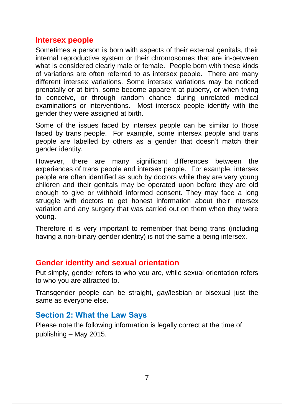#### <span id="page-7-0"></span>**Intersex people**

Sometimes a person is born with aspects of their external genitals, their internal reproductive system or their chromosomes that are in-between what is considered clearly male or female. People born with these kinds of variations are often referred to as intersex people. There are many different intersex variations. Some intersex variations may be noticed prenatally or at birth, some become apparent at puberty, or when trying to conceive, or through random chance during unrelated medical examinations or interventions. Most intersex people identify with the gender they were assigned at birth.

Some of the issues faced by intersex people can be similar to those faced by trans people. For example, some intersex people and trans people are labelled by others as a gender that doesn't match their gender identity.

However, there are many significant differences between the experiences of trans people and intersex people. For example, intersex people are often identified as such by doctors while they are very young children and their genitals may be operated upon before they are old enough to give or withhold informed consent. They may face a long struggle with doctors to get honest information about their intersex variation and any surgery that was carried out on them when they were young.

Therefore it is very important to remember that being trans (including having a non-binary gender identity) is not the same a being intersex.

#### <span id="page-7-1"></span>**Gender identity and sexual orientation**

Put simply, gender refers to who you are, while sexual orientation refers to who you are attracted to.

Transgender people can be straight, gay/lesbian or bisexual just the same as everyone else.

#### <span id="page-7-2"></span>**Section 2: What the Law Says**

Please note the following information is legally correct at the time of publishing – May 2015.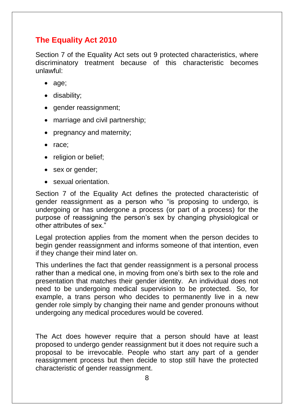## **The Equality Act 2010**

Section 7 of the Equality Act sets out 9 protected characteristics, where discriminatory treatment because of this characteristic becomes unlawful:

- age;
- disability;
- gender reassignment;
- marriage and civil partnership:
- pregnancy and maternity;
- race:
- religion or belief;
- sex or gender;
- sexual orientation.

Section 7 of the Equality Act defines the protected characteristic of gender reassignment as a person who "is proposing to undergo, is undergoing or has undergone a process (or part of a process) for the purpose of reassigning the person's sex by changing physiological or other attributes of sex."

Legal protection applies from the moment when the person decides to begin gender reassignment and informs someone of that intention, even if they change their mind later on.

This underlines the fact that gender reassignment is a personal process rather than a medical one, in moving from one's birth sex to the role and presentation that matches their gender identity. An individual does not need to be undergoing medical supervision to be protected. So, for example, a trans person who decides to permanently live in a new gender role simply by changing their name and gender pronouns without undergoing any medical procedures would be covered.

The Act does however require that a person should have at least proposed to undergo gender reassignment but it does not require such a proposal to be irrevocable. People who start any part of a gender reassignment process but then decide to stop still have the protected characteristic of gender reassignment.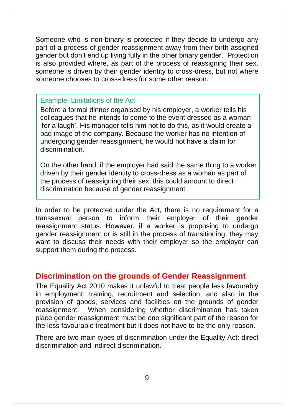Someone who is non-binary is protected if they decide to undergo any part of a process of gender reassignment away from their birth assigned gender but don't end up living fully in the other binary gender. Protection is also provided where, as part of the process of reassigning their sex, someone is driven by their gender identity to cross-dress, but not where someone chooses to cross-dress for some other reason.

#### Example: Limitations of the Act

Before a formal dinner organised by his employer, a worker tells his colleagues that he intends to come to the event dressed as a woman 'for a laugh'. His manager tells him not to do this, as it would create a bad image of the company. Because the worker has no intention of undergoing gender reassignment, he would not have a claim for discrimination.

On the other hand, if the employer had said the same thing to a worker driven by their gender identity to cross-dress as a woman as part of the process of reassigning their sex, this could amount to direct discrimination because of gender reassignment

In order to be protected under the Act, there is no requirement for a transsexual person to inform their employer of their gender reassignment status. However, if a worker is proposing to undergo gender reassignment or is still in the process of transitioning, they may want to discuss their needs with their employer so the employer can support them during the process.

#### <span id="page-9-0"></span>**Discrimination on the grounds of Gender Reassignment**

The Equality Act 2010 makes it unlawful to treat people less favourably in employment, training, recruitment and selection, and also in the provision of goods, services and facilities on the grounds of gender reassignment. When considering whether discrimination has taken place gender reassignment must be one significant part of the reason for the less favourable treatment but it does not have to be the only reason.

There are two main types of discrimination under the Equality Act: direct discrimination and indirect discrimination.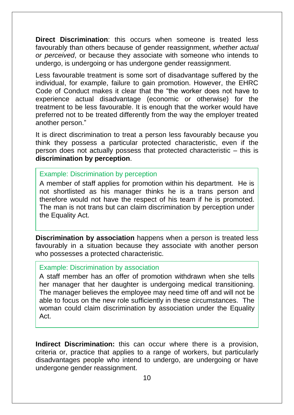**Direct Discrimination**: this occurs when someone is treated less favourably than others because of gender reassignment, *whether actual or perceived*, or because they associate with someone who intends to undergo, is undergoing or has undergone gender reassignment.

Less favourable treatment is some sort of disadvantage suffered by the individual, for example, failure to gain promotion. However, the EHRC Code of Conduct makes it clear that the "the worker does not have to experience actual disadvantage (economic or otherwise) for the treatment to be less favourable. It is enough that the worker would have preferred not to be treated differently from the way the employer treated another person."

It is direct discrimination to treat a person less favourably because you think they possess a particular protected characteristic, even if the person does not actually possess that protected characteristic – this is **discrimination by perception**.

#### Example: Discrimination by perception

A member of staff applies for promotion within his department. He is not shortlisted as his manager thinks he is a trans person and therefore would not have the respect of his team if he is promoted. The man is not trans but can claim discrimination by perception under the Equality Act.

**Discrimination by association** happens when a person is treated less favourably in a situation because they associate with another person who possesses a protected characteristic.

#### Example: Discrimination by association

A staff member has an offer of promotion withdrawn when she tells her manager that her daughter is undergoing medical transitioning. The manager believes the employee may need time off and will not be able to focus on the new role sufficiently in these circumstances. The woman could claim discrimination by association under the Equality Act.

**Indirect Discrimination:** this can occur where there is a provision, criteria or, practice that applies to a range of workers, but particularly disadvantages people who intend to undergo, are undergoing or have undergone gender reassignment.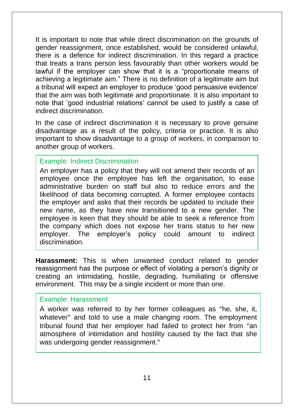It is important to note that while direct discrimination on the grounds of gender reassignment, once established, would be considered unlawful, there is a defence for indirect discrimination. In this regard a practice that treats a trans person less favourably than other workers would be lawful if the employer can show that it is a "proportionate means of achieving a legitimate aim." There is no definition of a legitimate aim but a tribunal will expect an employer to produce 'good persuasive evidence' that the aim was both legitimate and proportionate. It is also important to note that 'good industrial relations' cannot be used to justify a case of indirect discrimination.

In the case of indirect discrimination it is necessary to prove genuine disadvantage as a result of the policy, criteria or practice. It is also important to show disadvantage to a group of workers, in comparison to another group of workers.

#### Example: Indirect Discrimination

An employer has a policy that they will not amend their records of an employee once the employee has left the organisation, to ease administrative burden on staff but also to reduce errors and the likelihood of data becoming corrupted. A former employee contacts the employer and asks that their records be updated to include their new name, as they have now transitioned to a new gender. The employee is keen that they should be able to seek a reference from the company which does not expose her trans status to her new employer. The employer's policy could amount to indirect discrimination.

**Harassment:** This is when unwanted conduct related to gender reassignment has the purpose or effect of violating a person's dignity or creating an intimidating, hostile, degrading, humiliating or offensive environment. This may be a single incident or more than one.

#### Example: Harassment

A worker was referred to by her former colleagues as "he, she, it, whatever" and told to use a male changing room. The employment tribunal found that her employer had failed to protect her from "an atmosphere of intimidation and hostility caused by the fact that she was undergoing gender reassignment."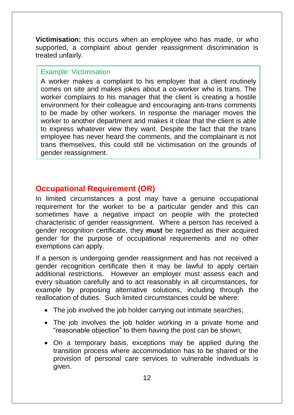**Victimisation:** this occurs when an employee who has made, or who supported, a complaint about gender reassignment discrimination is treated unfairly.

#### Example: Victimisation

A worker makes a complaint to his employer that a client routinely comes on site and makes jokes about a co-worker who is trans. The worker complains to his manager that the client is creating a hostile environment for their colleague and encouraging anti-trans comments to be made by other workers. In response the manager moves the worker to another department and makes it clear that the client is able to express whatever view they want. Despite the fact that the trans employee has never heard the comments, and the complainant is not trans themselves, this could still be victimisation on the grounds of gender reassignment.

## <span id="page-12-0"></span>**Occupational Requirement (OR)**

In limited circumstances a post may have a genuine occupational requirement for the worker to be a particular gender and this can sometimes have a negative impact on people with the protected characteristic of gender reassignment. Where a person has received a gender recognition certificate, they **must** be regarded as their acquired gender for the purpose of occupational requirements and no other exemptions can apply.

If a person is undergoing gender reassignment and has not received a gender recognition certificate then it may be lawful to apply certain additional restrictions. However an employer must assess each and every situation carefully and to act reasonably in all circumstances, for example by proposing alternative solutions, including through the reallocation of duties. Such limited circumstances could be where:

- The job involved the job holder carrying out intimate searches;
- The job involves the job holder working in a private home and "reasonable objection" to them having the post can be shown;
- On a temporary basis, exceptions may be applied during the transition process where accommodation has to be shared or the provision of personal care services to vulnerable individuals is given.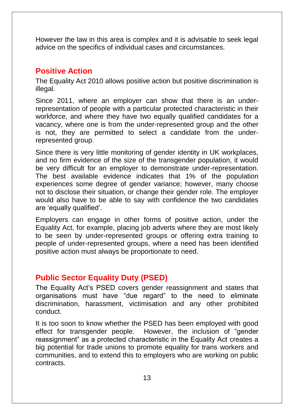However the law in this area is complex and it is advisable to seek legal advice on the specifics of individual cases and circumstances.

## <span id="page-13-0"></span>**Positive Action**

The Equality Act 2010 allows positive action but positive discrimination is illegal.

Since 2011, where an employer can show that there is an underrepresentation of people with a particular protected characteristic in their workforce, and where they have two equally qualified candidates for a vacancy, where one is from the under-represented group and the other is not, they are permitted to select a candidate from the underrepresented group.

Since there is very little monitoring of gender identity in UK workplaces, and no firm evidence of the size of the transgender population, it would be very difficult for an employer to demonstrate under-representation. The best available evidence indicates that 1% of the population experiences some degree of gender variance; however, many choose not to disclose their situation, or change their gender role. The employer would also have to be able to say with confidence the two candidates are 'equally qualified'.

Employers can engage in other forms of positive action, under the Equality Act, for example, placing job adverts where they are most likely to be seen by under-represented groups or offering extra training to people of under-represented groups, where a need has been identified positive action must always be proportionate to need.

## <span id="page-13-1"></span>**Public Sector Equality Duty (PSED)**

The Equality Act's PSED covers gender reassignment and states that organisations must have "due regard" to the need to eliminate discrimination, harassment, victimisation and any other prohibited conduct.

It is too soon to know whether the PSED has been employed with good effect for transgender people. However, the inclusion of "gender reassignment" as a protected characteristic in the Equality Act creates a big potential for trade unions to promote equality for trans workers and communities, and to extend this to employers who are working on public contracts.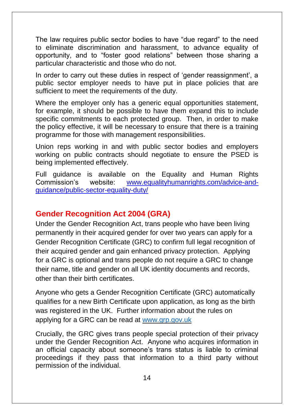The law requires public sector bodies to have "due regard" to the need to eliminate discrimination and harassment, to advance equality of opportunity, and to "foster good relations" between those sharing a particular characteristic and those who do not.

In order to carry out these duties in respect of 'gender reassignment', a public sector employer needs to have put in place policies that are sufficient to meet the requirements of the duty.

Where the employer only has a generic equal opportunities statement, for example, it should be possible to have them expand this to include specific commitments to each protected group. Then, in order to make the policy effective, it will be necessary to ensure that there is a training programme for those with management responsibilities.

Union reps working in and with public sector bodies and employers working on public contracts should negotiate to ensure the PSED is being implemented effectively.

Full guidance is available on the Equality and Human Rights Commission's website: [www.equalityhumanrights.com/advice-and](http://www.equalityhumanrights.com/advice-and-guidance/public-sector-equality-duty/)[guidance/public-sector-equality-duty/](http://www.equalityhumanrights.com/advice-and-guidance/public-sector-equality-duty/)

## <span id="page-14-0"></span>**Gender Recognition Act 2004 (GRA)**

Under the Gender Recognition Act, trans people who have been living permanently in their acquired gender for over two years can apply for a Gender Recognition Certificate (GRC) to confirm full legal recognition of their acquired gender and gain enhanced privacy protection. Applying for a GRC is optional and trans people do not require a GRC to change their name, title and gender on all UK identity documents and records, other than their birth certificates.

Anyone who gets a Gender Recognition Certificate (GRC) automatically qualifies for a new Birth Certificate upon application, as long as the birth was registered in the UK. Further information about the rules on applying for a GRC can be read at [www.grp.gov.uk](http://www.grp.gov.uk/) 

Crucially, the GRC gives trans people special protection of their privacy under the Gender Recognition Act. Anyone who acquires information in an official capacity about someone's trans status is liable to criminal proceedings if they pass that information to a third party without permission of the individual.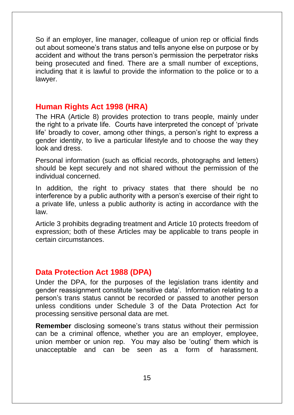So if an employer, line manager, colleague of union rep or official finds out about someone's trans status and tells anyone else on purpose or by accident and without the trans person's permission the perpetrator risks being prosecuted and fined. There are a small number of exceptions, including that it is lawful to provide the information to the police or to a lawyer.

## <span id="page-15-0"></span>**Human Rights Act 1998 (HRA)**

The HRA (Article 8) provides protection to trans people, mainly under the right to a private life. Courts have interpreted the concept of 'private life' broadly to cover, among other things, a person's right to express a gender identity, to live a particular lifestyle and to choose the way they look and dress.

Personal information (such as official records, photographs and letters) should be kept securely and not shared without the permission of the individual concerned.

In addition, the right to privacy states that there should be no interference by a public authority with a person's exercise of their right to a private life, unless a public authority is acting in accordance with the law.

Article 3 prohibits degrading treatment and Article 10 protects freedom of expression; both of these Articles may be applicable to trans people in certain circumstances.

## <span id="page-15-1"></span>**Data Protection Act 1988 (DPA)**

Under the DPA, for the purposes of the legislation trans identity and gender reassignment constitute 'sensitive data'. Information relating to a person's trans status cannot be recorded or passed to another person unless conditions under Schedule 3 of the Data Protection Act for processing sensitive personal data are met.

**Remember** disclosing someone's trans status without their permission can be a criminal offence, whether you are an employer, employee, union member or union rep. You may also be 'outing' them which is unacceptable and can be seen as a form of harassment.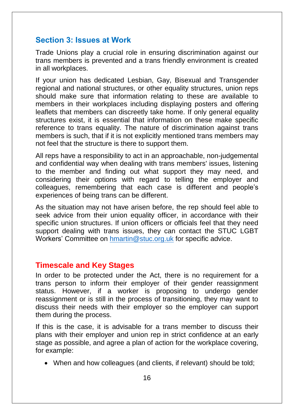#### <span id="page-16-0"></span>**Section 3: Issues at Work**

Trade Unions play a crucial role in ensuring discrimination against our trans members is prevented and a trans friendly environment is created in all workplaces.

If your union has dedicated Lesbian, Gay, Bisexual and Transgender regional and national structures, or other equality structures, union reps should make sure that information relating to these are available to members in their workplaces including displaying posters and offering leaflets that members can discreetly take home. If only general equality structures exist, it is essential that information on these make specific reference to trans equality. The nature of discrimination against trans members is such, that if it is not explicitly mentioned trans members may not feel that the structure is there to support them.

All reps have a responsibility to act in an approachable, non-judgemental and confidential way when dealing with trans members' issues, listening to the member and finding out what support they may need, and considering their options with regard to telling the employer and colleagues, remembering that each case is different and people's experiences of being trans can be different.

As the situation may not have arisen before, the rep should feel able to seek advice from their union equality officer, in accordance with their specific union structures. If union officers or officials feel that they need support dealing with trans issues, they can contact the STUC LGBT Workers' Committee on [hmartin@stuc.org.uk](mailto:hmartin@stuc.org.uk) for specific advice.

#### <span id="page-16-1"></span>**Timescale and Key Stages**

In order to be protected under the Act, there is no requirement for a trans person to inform their employer of their gender reassignment status. However, if a worker is proposing to undergo gender reassignment or is still in the process of transitioning, they may want to discuss their needs with their employer so the employer can support them during the process.

If this is the case, it is advisable for a trans member to discuss their plans with their employer and union rep in strict confidence at an early stage as possible, and agree a plan of action for the workplace covering, for example:

When and how colleagues (and clients, if relevant) should be told;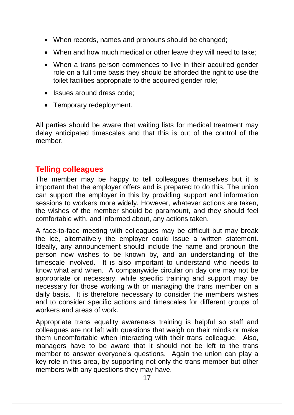- When records, names and pronouns should be changed;
- When and how much medical or other leave they will need to take;
- When a trans person commences to live in their acquired gender role on a full time basis they should be afforded the right to use the toilet facilities appropriate to the acquired gender role;
- Issues around dress code:
- Temporary redeployment.

All parties should be aware that waiting lists for medical treatment may delay anticipated timescales and that this is out of the control of the member.

## <span id="page-17-0"></span>**Telling colleagues**

The member may be happy to tell colleagues themselves but it is important that the employer offers and is prepared to do this. The union can support the employer in this by providing support and information sessions to workers more widely. However, whatever actions are taken, the wishes of the member should be paramount, and they should feel comfortable with, and informed about, any actions taken.

A face-to-face meeting with colleagues may be difficult but may break the ice, alternatively the employer could issue a written statement. Ideally, any announcement should include the name and pronoun the person now wishes to be known by, and an understanding of the timescale involved. It is also important to understand who needs to know what and when. A companywide circular on day one may not be appropriate or necessary, while specific training and support may be necessary for those working with or managing the trans member on a daily basis. It is therefore necessary to consider the members wishes and to consider specific actions and timescales for different groups of workers and areas of work.

Appropriate trans equality awareness training is helpful so staff and colleagues are not left with questions that weigh on their minds or make them uncomfortable when interacting with their trans colleague. Also, managers have to be aware that it should not be left to the trans member to answer everyone's questions. Again the union can play a key role in this area, by supporting not only the trans member but other members with any questions they may have.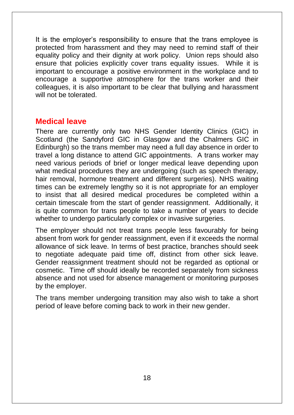It is the employer's responsibility to ensure that the trans employee is protected from harassment and they may need to remind staff of their equality policy and their dignity at work policy. Union reps should also ensure that policies explicitly cover trans equality issues. While it is important to encourage a positive environment in the workplace and to encourage a supportive atmosphere for the trans worker and their colleagues, it is also important to be clear that bullying and harassment will not be tolerated.

#### <span id="page-18-0"></span>**Medical leave**

There are currently only two NHS Gender Identity Clinics (GIC) in Scotland (the Sandyford GIC in Glasgow and the Chalmers GIC in Edinburgh) so the trans member may need a full day absence in order to travel a long distance to attend GIC appointments. A trans worker may need various periods of brief or longer medical leave depending upon what medical procedures they are undergoing (such as speech therapy, hair removal, hormone treatment and different surgeries). NHS waiting times can be extremely lengthy so it is not appropriate for an employer to insist that all desired medical procedures be completed within a certain timescale from the start of gender reassignment. Additionally, it is quite common for trans people to take a number of years to decide whether to undergo particularly complex or invasive surgeries.

The employer should not treat trans people less favourably for being absent from work for gender reassignment, even if it exceeds the normal allowance of sick leave. In terms of best practice, branches should seek to negotiate adequate paid time off, distinct from other sick leave. Gender reassignment treatment should not be regarded as optional or cosmetic. Time off should ideally be recorded separately from sickness absence and not used for absence management or monitoring purposes by the employer.

<span id="page-18-1"></span>The trans member undergoing transition may also wish to take a short period of leave before coming back to work in their new gender.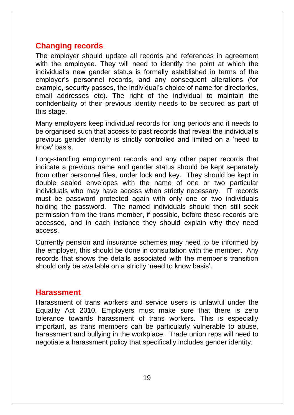## **Changing records**

The employer should update all records and references in agreement with the employee. They will need to identify the point at which the individual's new gender status is formally established in terms of the employer's personnel records, and any consequent alterations (for example, security passes, the individual's choice of name for directories, email addresses etc). The right of the individual to maintain the confidentiality of their previous identity needs to be secured as part of this stage.

Many employers keep individual records for long periods and it needs to be organised such that access to past records that reveal the individual's previous gender identity is strictly controlled and limited on a 'need to know' basis.

Long-standing employment records and any other paper records that indicate a previous name and gender status should be kept separately from other personnel files, under lock and key. They should be kept in double sealed envelopes with the name of one or two particular individuals who may have access when strictly necessary. IT records must be password protected again with only one or two individuals holding the password. The named individuals should then still seek permission from the trans member, if possible, before these records are accessed, and in each instance they should explain why they need access.

Currently pension and insurance schemes may need to be informed by the employer, this should be done in consultation with the member. Any records that shows the details associated with the member's transition should only be available on a strictly 'need to know basis'.

#### <span id="page-19-0"></span>**Harassment**

<span id="page-19-1"></span>Harassment of trans workers and service users is unlawful under the Equality Act 2010. Employers must make sure that there is zero tolerance towards harassment of trans workers. This is especially important, as trans members can be particularly vulnerable to abuse, harassment and bullying in the workplace. Trade union reps will need to negotiate a harassment policy that specifically includes gender identity.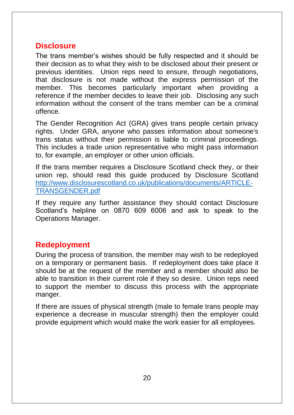#### **Disclosure**

The trans member's wishes should be fully respected and it should be their decision as to what they wish to be disclosed about their present or previous identities. Union reps need to ensure, through negotiations, that disclosure is not made without the express permission of the member. This becomes particularly important when providing a reference if the member decides to leave their job. Disclosing any such information without the consent of the trans member can be a criminal offence.

The Gender Recognition Act (GRA) gives trans people certain privacy rights. Under GRA, anyone who passes information about someone's trans status without their permission is liable to criminal proceedings. This includes a trade union representative who might pass information to, for example, an employer or other union officials.

If the trans member requires a Disclosure Scotland check they, or their union rep, should read this guide produced by Disclosure Scotland [http://www.disclosurescotland.co.uk/publications/documents/ARTICLE-](http://www.disclosurescotland.co.uk/publications/documents/ARTICLE-TRANSGENDER.pdf)[TRANSGENDER.pdf](http://www.disclosurescotland.co.uk/publications/documents/ARTICLE-TRANSGENDER.pdf)

If they require any further assistance they should contact Disclosure Scotland's helpline on 0870 609 6006 and ask to speak to the Operations Manager.

## <span id="page-20-0"></span>**Redeployment**

During the process of transition, the member may wish to be redeployed on a temporary or permanent basis. If redeployment does take place it should be at the request of the member and a member should also be able to transition in their current role if they so desire. Union reps need to support the member to discuss this process with the appropriate manger.

<span id="page-20-1"></span>If there are issues of physical strength (male to female trans people may experience a decrease in muscular strength) then the employer could provide equipment which would make the work easier for all employees.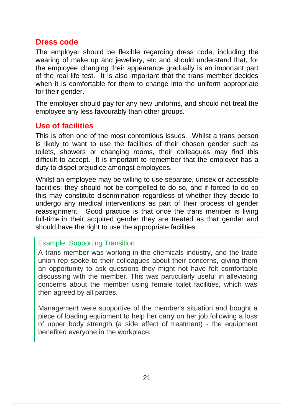#### **Dress code**

The employer should be flexible regarding dress code, including the wearing of make up and jewellery, etc and should understand that, for the employee changing their appearance gradually is an important part of the real life test. It is also important that the trans member decides when it is comfortable for them to change into the uniform appropriate for their gender.

The employer should pay for any new uniforms, and should not treat the employee any less favourably than other groups.

#### <span id="page-21-0"></span>**Use of facilities**

This is often one of the most contentious issues. Whilst a trans person is likely to want to use the facilities of their chosen gender such as toilets, showers or changing rooms, their colleagues may find this difficult to accept. It is important to remember that the employer has a duty to dispel prejudice amongst employees.

Whilst an employee may be willing to use separate, unisex or accessible facilities, they should not be compelled to do so, and if forced to do so this may constitute discrimination regardless of whether they decide to undergo any medical interventions as part of their process of gender reassignment. Good practice is that once the trans member is living full-time in their acquired gender they are treated as that gender and should have the right to use the appropriate facilities.

#### Example: Supporting Transition

A trans member was working in the chemicals industry, and the trade union rep spoke to their colleagues about their concerns, giving them an opportunity to ask questions they might not have felt comfortable discussing with the member. This was particularly useful in alleviating concerns about the member using female toilet facilities, which was then agreed by all parties.

Management were supportive of the member's situation and bought a piece of loading equipment to help her carry on her job following a loss of upper body strength (a side effect of treatment) - the equipment benefited everyone in the workplace.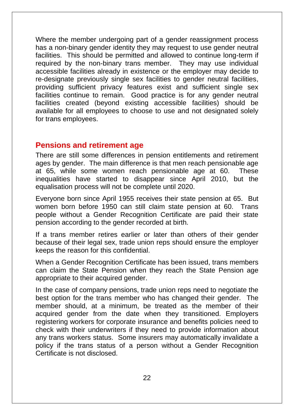Where the member undergoing part of a gender reassignment process has a non-binary gender identity they may request to use gender neutral facilities. This should be permitted and allowed to continue long-term if required by the non-binary trans member. They may use individual accessible facilities already in existence or the employer may decide to re-designate previously single sex facilities to gender neutral facilities, providing sufficient privacy features exist and sufficient single sex facilities continue to remain. Good practice is for any gender neutral facilities created (beyond existing accessible facilities) should be available for all employees to choose to use and not designated solely for trans employees.

#### <span id="page-22-0"></span>**Pensions and retirement age**

There are still some differences in pension entitlements and retirement ages by gender. The main difference is that men reach pensionable age at 65, while some women reach pensionable age at 60. These inequalities have started to disappear since April 2010, but the equalisation process will not be complete until 2020.

Everyone born since April 1955 receives their state pension at 65. But women born before 1950 can still claim state pension at 60. Trans people without a Gender Recognition Certificate are paid their state pension according to the gender recorded at birth.

If a trans member retires earlier or later than others of their gender because of their legal sex, trade union reps should ensure the employer keeps the reason for this confidential.

When a Gender Recognition Certificate has been issued, trans members can claim the State Pension when they reach the State Pension age appropriate to their acquired gender.

In the case of company pensions, trade union reps need to negotiate the best option for the trans member who has changed their gender. The member should, at a minimum, be treated as the member of their acquired gender from the date when they transitioned. Employers registering workers for corporate insurance and benefits policies need to check with their underwriters if they need to provide information about any trans workers status. Some insurers may automatically invalidate a policy if the trans status of a person without a Gender Recognition Certificate is not disclosed.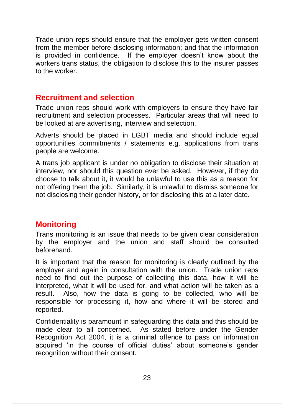Trade union reps should ensure that the employer gets written consent from the member before disclosing information; and that the information is provided in confidence. If the employer doesn't know about the workers trans status, the obligation to disclose this to the insurer passes to the worker.

#### <span id="page-23-0"></span>**Recruitment and selection**

Trade union reps should work with employers to ensure they have fair recruitment and selection processes. Particular areas that will need to be looked at are advertising, interview and selection.

Adverts should be placed in LGBT media and should include equal opportunities commitments / statements e.g. applications from trans people are welcome.

A trans job applicant is under no obligation to disclose their situation at interview, nor should this question ever be asked. However, if they do choose to talk about it, it would be unlawful to use this as a reason for not offering them the job. Similarly, it is unlawful to dismiss someone for not disclosing their gender history, or for disclosing this at a later date.

## <span id="page-23-1"></span>**Monitoring**

Trans monitoring is an issue that needs to be given clear consideration by the employer and the union and staff should be consulted beforehand.

It is important that the reason for monitoring is clearly outlined by the employer and again in consultation with the union. Trade union reps need to find out the purpose of collecting this data, how it will be interpreted, what it will be used for, and what action will be taken as a result. Also, how the data is going to be collected, who will be responsible for processing it, how and where it will be stored and reported.

Confidentiality is paramount in safeguarding this data and this should be made clear to all concerned. As stated before under the Gender Recognition Act 2004, it is a criminal offence to pass on information acquired 'in the course of official duties' about someone's gender recognition without their consent.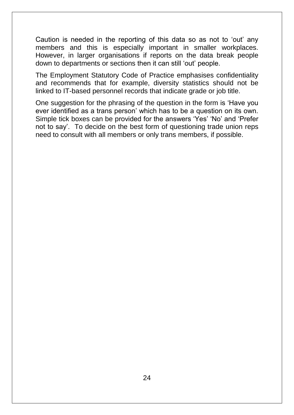Caution is needed in the reporting of this data so as not to 'out' any members and this is especially important in smaller workplaces. However, in larger organisations if reports on the data break people down to departments or sections then it can still 'out' people.

The Employment Statutory Code of Practice emphasises confidentiality and recommends that for example, diversity statistics should not be linked to IT-based personnel records that indicate grade or job title.

<span id="page-24-0"></span>One suggestion for the phrasing of the question in the form is 'Have you ever identified as a trans person' which has to be a question on its own. Simple tick boxes can be provided for the answers 'Yes' 'No' and 'Prefer not to say'. To decide on the best form of questioning trade union reps need to consult with all members or only trans members, if possible.